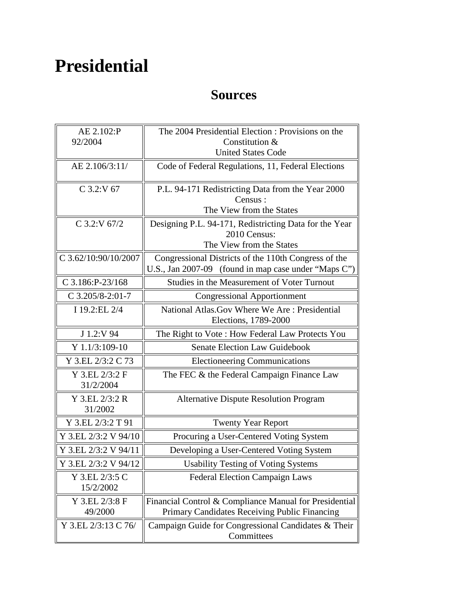## **Presidential**

## **Sources**

| AE 2.102:P                  | The 2004 Presidential Election: Provisions on the                      |
|-----------------------------|------------------------------------------------------------------------|
| 92/2004                     | Constitution &                                                         |
|                             | <b>United States Code</b>                                              |
| AE 2.106/3:11/              | Code of Federal Regulations, 11, Federal Elections                     |
| $C$ 3.2:V 67                | P.L. 94-171 Redistricting Data from the Year 2000                      |
|                             | Census:                                                                |
|                             | The View from the States                                               |
| C 3.2:V 67/2                | Designing P.L. 94-171, Redistricting Data for the Year                 |
|                             | 2010 Census:                                                           |
|                             | The View from the States                                               |
| C 3.62/10:90/10/2007        | Congressional Districts of the 110th Congress of the                   |
|                             | U.S., Jan 2007-09 (found in map case under "Maps C")                   |
| C 3.186:P-23/168            | Studies in the Measurement of Voter Turnout                            |
| $C$ 3.205/8-2:01-7          | <b>Congressional Apportionment</b>                                     |
| I 19.2:EL 2/4               | National Atlas. Gov Where We Are: Presidential<br>Elections, 1789-2000 |
| J 1.2:V 94                  | The Right to Vote: How Federal Law Protects You                        |
| Y 1.1/3:109-10              | Senate Election Law Guidebook                                          |
| Y 3.EL 2/3:2 C 73           | <b>Electioneering Communications</b>                                   |
| Y 3.EL 2/3:2 F<br>31/2/2004 | The FEC & the Federal Campaign Finance Law                             |
| Y 3.EL 2/3:2 R<br>31/2002   | <b>Alternative Dispute Resolution Program</b>                          |
| Y 3.EL 2/3:2 T 91           | <b>Twenty Year Report</b>                                              |
| Y 3.EL 2/3:2 V 94/10        | Procuring a User-Centered Voting System                                |
| Y 3.EL 2/3:2 V 94/11        | Developing a User-Centered Voting System                               |
| Y 3.EL 2/3:2 V 94/12        | <b>Usability Testing of Voting Systems</b>                             |
| Y 3.EL 2/3:5 C<br>15/2/2002 | <b>Federal Election Campaign Laws</b>                                  |
| Y 3.EL 2/3:8 F              | Financial Control & Compliance Manual for Presidential                 |
| 49/2000                     | Primary Candidates Receiving Public Financing                          |
| Y 3.EL 2/3:13 C 76/         | Campaign Guide for Congressional Candidates & Their<br>Committees      |